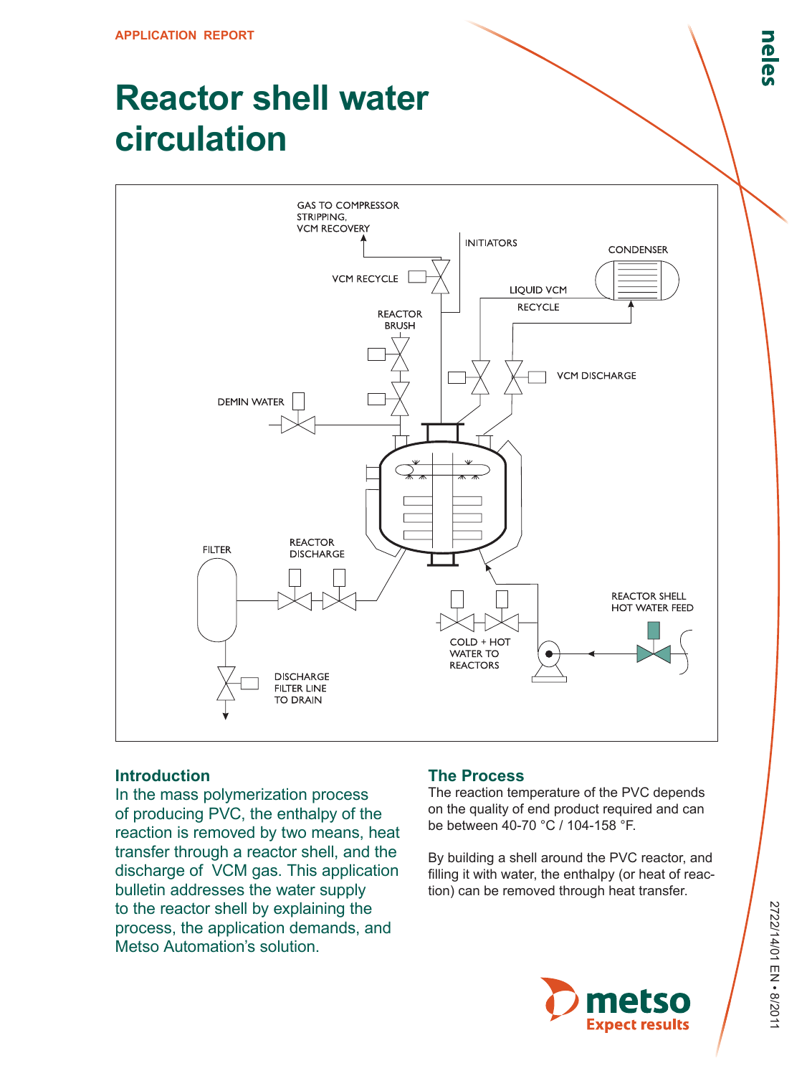# **Reactor shell water circulation**



### **Introduction**

In the mass polymerization process of producing PVC, the enthalpy of the reaction is removed by two means, heat transfer through a reactor shell, and the discharge of VCM gas. This application bulletin addresses the water supply to the reactor shell by explaining the process, the application demands, and Metso Automation's solution.

### **The Process**

The reaction temperature of the PVC depends on the quality of end product required and can be between 40-70 °C / 104-158 °F.

By building a shell around the PVC reactor, and filling it with water, the enthalpy (or heat of reaction) can be removed through heat transfer.